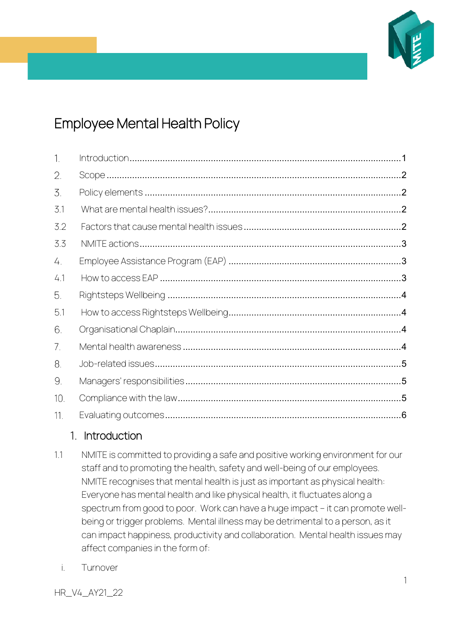

# Employee Mental Health Policy

| $\overline{1}$ . |  |
|------------------|--|
| 2.               |  |
| 3.               |  |
| 3.1              |  |
| 3.2              |  |
| 3.3              |  |
| 4.               |  |
| 4.1              |  |
| 5.               |  |
| 5.1              |  |
| 6.               |  |
| 7.               |  |
| 8.               |  |
| 9.               |  |
| 10.              |  |
| 11.              |  |

# <span id="page-0-0"></span>1. Introduction

- 1.1 NMITE is committed to providing a safe and positive working environment for our staff and to promoting the health, safety and well-being of our employees. NMITE recognises that mental health is just as important as physical health: Everyone has mental health and like physical health, it fluctuates along a spectrum from good to poor. Work can have a huge impact – it can promote wellbeing or trigger problems. Mental illness may be detrimental to a person, as it can impact happiness, productivity and collaboration. Mental health issues may affect companies in the form of:
	- i. Turnover

HR\_V4\_AY21\_22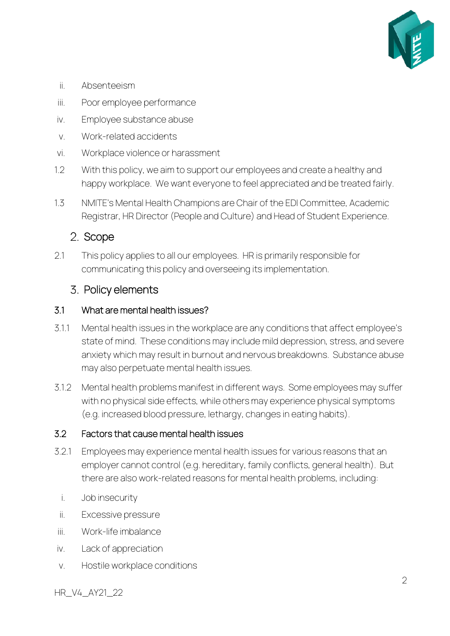

- ii. Absenteeism
- iii. Poor employee performance
- iv. Employee substance abuse
- v. Work-related accidents
- vi. Workplace violence or harassment
- 1.2 With this policy, we aim to support our employees and create a healthy and happy workplace. We want everyone to feel appreciated and be treated fairly.
- 1.3 NMITE's Mental Health Champions are Chair of the EDI Committee, Academic Registrar, HR Director (People and Culture) and Head of Student Experience.

# <span id="page-1-0"></span>2. Scope

2.1 This policy applies to all our employees. HR is primarily responsible for communicating this policy and overseeing its implementation.

## <span id="page-1-1"></span>3. Policy elements

#### <span id="page-1-2"></span>3.1 What are mental health issues?

- 3.1.1 Mental health issues in the workplace are any conditions that affect employee's state of mind. These conditions may include mild depression, stress, and severe anxiety which may result in burnout and nervous breakdowns. Substance abuse may also perpetuate mental health issues.
- 3.1.2 Mental health problems manifest in different ways. Some employees may suffer with no physical side effects, while others may experience physical symptoms (e.g. increased blood pressure, lethargy, changes in eating habits).

#### <span id="page-1-3"></span>3.2 Factors that cause mental health issues

- 3.2.1 Employees may experience mental health issues for various reasons that an employer cannot control (e.g. hereditary, family conflicts, general health). But there are also work-related reasons for mental health problems, including:
	- i. Job insecurity
- ii. Excessive pressure
- iii. Work-life imbalance
- iv. Lack of appreciation
- v. Hostile workplace conditions

HR\_V4\_AY21\_22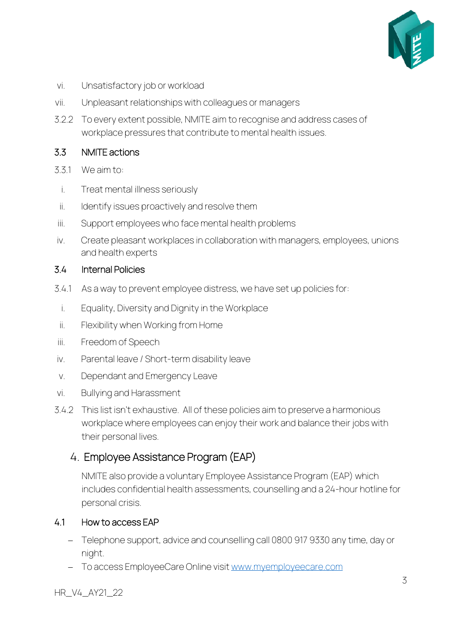

- vi. Unsatisfactory job or workload
- vii. Unpleasant relationships with colleagues or managers
- 3.2.2 To every extent possible, NMITE aim to recognise and address cases of workplace pressures that contribute to mental health issues.

#### <span id="page-2-0"></span>3.3 NMITE actions

- 3.3.1 We aim to:
- i. Treat mental illness seriously
- ii. Identify issues proactively and resolve them
- iii. Support employees who face mental health problems
- iv. Create pleasant workplaces in collaboration with managers, employees, unions and health experts

#### 3.4 Internal Policies

- 3.4.1 As a way to prevent employee distress, we have set up policies for:
- i. Equality, Diversity and Dignity in the Workplace
- ii. Flexibility when Working from Home
- iii. Freedom of Speech
- iv. Parental leave / Short-term disability leave
- v. Dependant and Emergency Leave
- vi. Bullying and Harassment
- 3.4.2 This list isn't exhaustive. All of these policies aim to preserve a harmonious workplace where employees can enjoy their work and balance their jobs with their personal lives.

# <span id="page-2-1"></span>Employee Assistance Program (EAP)

NMITE also provide a voluntary Employee Assistance Program (EAP) which includes confidential health assessments, counselling and a 24-hour hotline for personal crisis.

#### <span id="page-2-2"></span>4.1 How to access EAP

- − Telephone support, advice and counselling call 0800 917 9330 any time, day or night.
- − To access EmployeeCare Online visit [www.myemployeecare.com](http://www.myemployeecare.com/)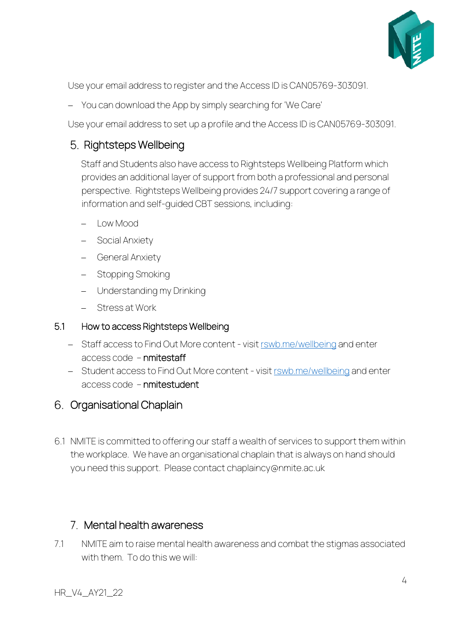

Use your email address to register and the Access ID is CAN05769-303091.

− You can download the App by simply searching for 'We Care'

Use your email address to set up a profile and the Access ID is CAN05769-303091.

# <span id="page-3-0"></span>5. Rightsteps Wellbeing

Staff and Students also have access to Rightsteps Wellbeing Platform which provides an additional layer of support from both a professional and personal perspective. Rightsteps Wellbeing provides 24/7 support covering a range of information and self-guided CBT sessions, including:

- − Low Mood
- − Social Anxiety
- − General Anxiety
- − Stopping Smoking
- − Understanding my Drinking
- − Stress at Work

#### <span id="page-3-1"></span>5.1 How to access Rightsteps Wellbeing

- − Staff access to Find Out More content visit [rswb.me/wellbeing](https://nmite.sharepoint.com/Academic%20Registry/Policy%20Framework/Policy%20Framework_21-22/Archive/Policies%20as%20at%20Feb2020/rswb.me/wellbeing) and enter access code – nmitestaff
- − Student access to Find Out More content visi[t rswb.me/wellbeing](https://nmite.sharepoint.com/Academic%20Registry/Policy%20Framework/Policy%20Framework_21-22/Archive/Policies%20as%20at%20Feb2020/rswb.me/wellbeing) and enter access code – nmitestudent

# <span id="page-3-2"></span>6. Organisational Chaplain

6.1 NMITE is committed to offering our staff a wealth of services to support them within the workplace. We have an organisational chaplain that is always on hand should you need this support. Please contact [chaplaincy@nmite.ac.uk](mailto:chaplaincy@nmite.ac.uk)

## <span id="page-3-3"></span>Mental health awareness

7.1 NMITE aim to raise mental health awareness and combat the stigmas associated with them. To do this we will: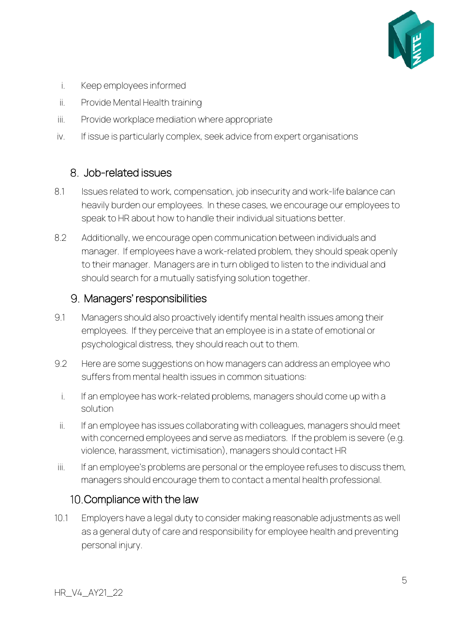

- i. Keep employees informed
- ii. Provide Mental Health training
- iii. Provide workplace mediation where appropriate
- iv. If issue is particularly complex, seek advice from expert organisations

# <span id="page-4-0"></span>Job-related issues

- 8.1 Issues related to work, compensation, job insecurity and work-life balance can heavily burden our employees. In these cases, we encourage our employees to speak to HR about how to handle their individual situations better.
- 8.2 Additionally, we encourage open communication between individuals and manager. If employees have a work-related problem, they should speak openly to their manager. Managers are in turn obliged to listen to the individual and should search for a mutually satisfying solution together.

## <span id="page-4-1"></span>9. Managers' responsibilities

- 9.1 Managers should also proactively identify mental health issues among their employees. If they perceive that an employee is in a state of emotional or psychological distress, they should reach out to them.
- 9.2 Here are some suggestions on how managers can address an employee who suffers from mental health issues in common situations:
	- i. If an employee has work-related problems, managers should come up with a solution
- ii. If an employee has issues collaborating with colleagues, managers should meet with concerned employees and serve as mediators. If the problem is severe (e.g. violence, harassment, victimisation), managers should contact HR
- iii. If an employee's problems are personal or the employee refuses to discuss them, managers should encourage them to contact a mental health professional.

# <span id="page-4-2"></span>10. Compliance with the law

10.1 Employers have a legal duty to consider making reasonable adjustments as well as a general duty of care and responsibility for employee health and preventing personal injury.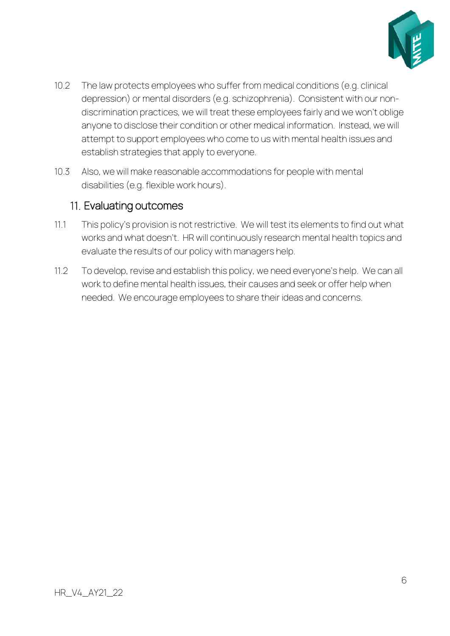

- 10.2 The law protects employees who suffer from medical conditions (e.g. clinical depression) or mental disorders (e.g. schizophrenia). Consistent with our nondiscrimination practices, we will treat these employees fairly and we won't oblige anyone to disclose their condition or other medical information. Instead, we will attempt to support employees who come to us with mental health issues and establish strategies that apply to everyone.
- 10.3 Also, we will make reasonable accommodations for people with mental disabilities (e.g. flexible work hours).

# <span id="page-5-0"></span>11. Evaluating outcomes

- 11.1 This policy's provision is not restrictive. We will test its elements to find out what works and what doesn't. HR will continuously research mental health topics and evaluate the results of our policy with managers help.
- 11.2 To develop, revise and establish this policy, we need everyone's help. We can all work to define mental health issues, their causes and seek or offer help when needed. We encourage employees to share their ideas and concerns.